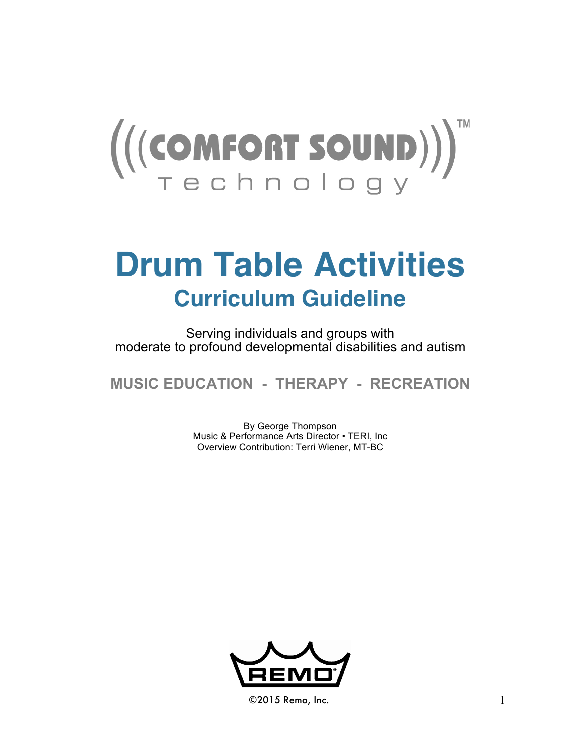

# **Drum Table Activities Curriculum Guideline**

Serving individuals and groups with moderate to profound developmental disabilities and autism

**MUSIC EDUCATION - THERAPY - RECREATION**

By George Thompson Music & Performance Arts Director • TERI, Inc Overview Contribution: Terri Wiener, MT-BC



©2015 Remo, Inc. 1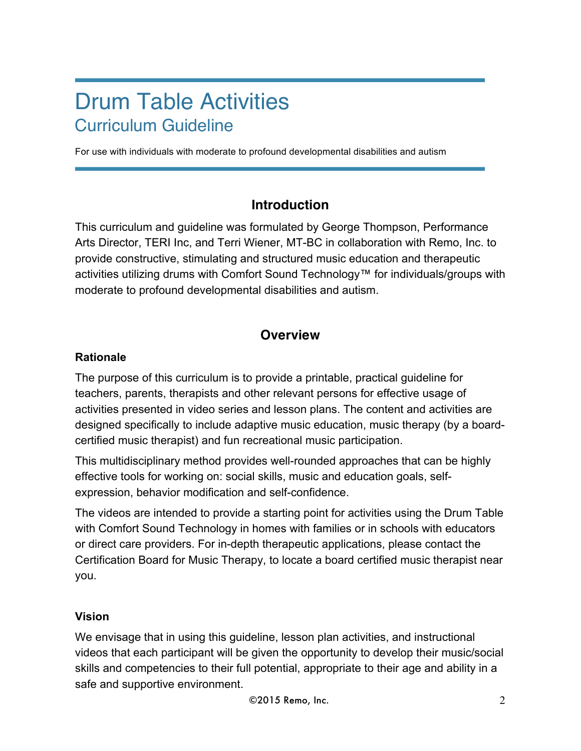## Drum Table Activities Curriculum Guideline

For use with individuals with moderate to profound developmental disabilities and autism

## **Introduction**

This curriculum and guideline was formulated by George Thompson, Performance Arts Director, TERI Inc, and Terri Wiener, MT-BC in collaboration with Remo, Inc. to provide constructive, stimulating and structured music education and therapeutic activities utilizing drums with Comfort Sound Technology™ for individuals/groups with moderate to profound developmental disabilities and autism.

## **Overview**

#### **Rationale**

The purpose of this curriculum is to provide a printable, practical guideline for teachers, parents, therapists and other relevant persons for effective usage of activities presented in video series and lesson plans. The content and activities are designed specifically to include adaptive music education, music therapy (by a boardcertified music therapist) and fun recreational music participation.

This multidisciplinary method provides well-rounded approaches that can be highly effective tools for working on: social skills, music and education goals, selfexpression, behavior modification and self-confidence.

The videos are intended to provide a starting point for activities using the Drum Table with Comfort Sound Technology in homes with families or in schools with educators or direct care providers. For in-depth therapeutic applications, please contact the Certification Board for Music Therapy, to locate a board certified music therapist near you.

#### **Vision**

We envisage that in using this guideline, lesson plan activities, and instructional videos that each participant will be given the opportunity to develop their music/social skills and competencies to their full potential, appropriate to their age and ability in a safe and supportive environment.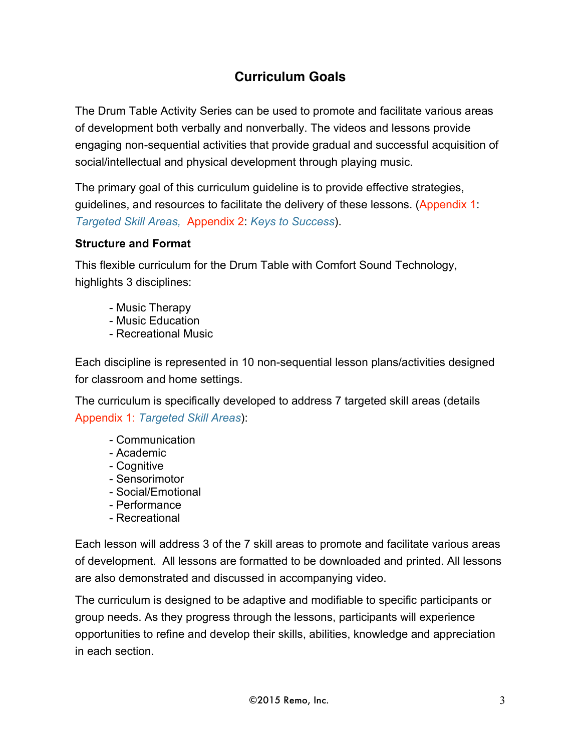## **Curriculum Goals**

The Drum Table Activity Series can be used to promote and facilitate various areas of development both verbally and nonverbally. The videos and lessons provide engaging non-sequential activities that provide gradual and successful acquisition of social/intellectual and physical development through playing music.

The primary goal of this curriculum guideline is to provide effective strategies, guidelines, and resources to facilitate the delivery of these lessons. (Appendix 1: *Targeted Skill Areas,* Appendix 2: *Keys to Success*).

#### **Structure and Format**

This flexible curriculum for the Drum Table with Comfort Sound Technology, highlights 3 disciplines:

- Music Therapy
- Music Education
- Recreational Music

Each discipline is represented in 10 non-sequential lesson plans/activities designed for classroom and home settings.

The curriculum is specifically developed to address 7 targeted skill areas (details Appendix 1: *Targeted Skill Areas*):

- Communication
- Academic
- Cognitive
- Sensorimotor
- Social/Emotional
- Performance
- Recreational

Each lesson will address 3 of the 7 skill areas to promote and facilitate various areas of development. All lessons are formatted to be downloaded and printed. All lessons are also demonstrated and discussed in accompanying video.

The curriculum is designed to be adaptive and modifiable to specific participants or group needs. As they progress through the lessons, participants will experience opportunities to refine and develop their skills, abilities, knowledge and appreciation in each section.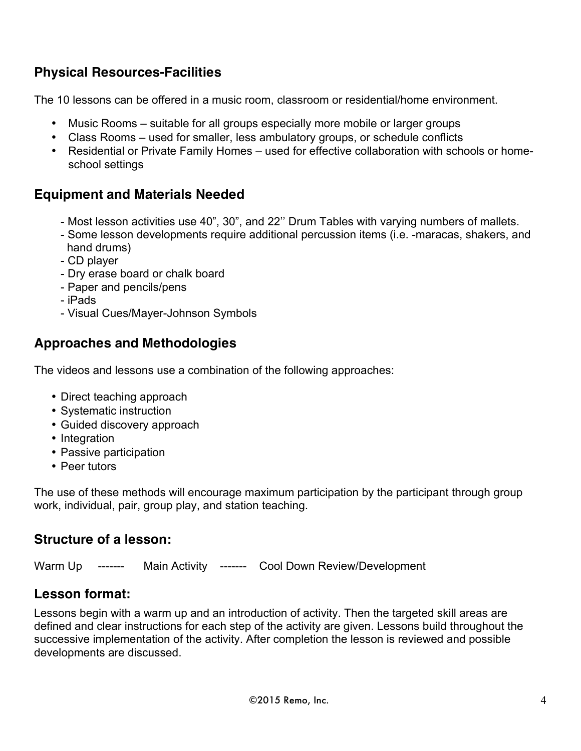## **Physical Resources-Facilities**

The 10 lessons can be offered in a music room, classroom or residential/home environment.

- Music Rooms suitable for all groups especially more mobile or larger groups
- Class Rooms used for smaller, less ambulatory groups, or schedule conflicts
- Residential or Private Family Homes used for effective collaboration with schools or homeschool settings

#### **Equipment and Materials Needed**

- Most lesson activities use 40", 30", and 22'' Drum Tables with varying numbers of mallets.
- Some lesson developments require additional percussion items (i.e. -maracas, shakers, and hand drums)
- CD player
- Dry erase board or chalk board
- Paper and pencils/pens
- iPads
- Visual Cues/Mayer-Johnson Symbols

#### **Approaches and Methodologies**

The videos and lessons use a combination of the following approaches:

- Direct teaching approach
- Systematic instruction
- Guided discovery approach
- Integration
- Passive participation
- Peer tutors

The use of these methods will encourage maximum participation by the participant through group work, individual, pair, group play, and station teaching.

#### **Structure of a lesson:**

Warm Up ------- Main Activity ------- Cool Down Review/Development

## **Lesson format:**

Lessons begin with a warm up and an introduction of activity. Then the targeted skill areas are defined and clear instructions for each step of the activity are given. Lessons build throughout the successive implementation of the activity. After completion the lesson is reviewed and possible developments are discussed.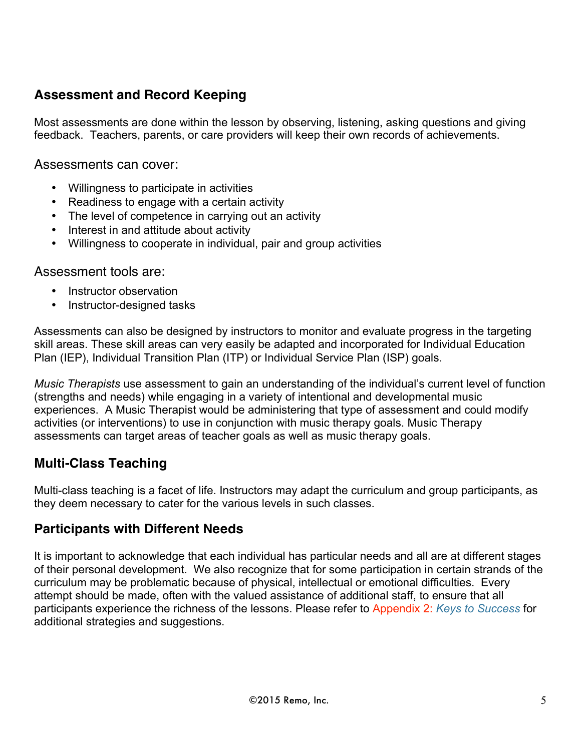## **Assessment and Record Keeping**

Most assessments are done within the lesson by observing, listening, asking questions and giving feedback. Teachers, parents, or care providers will keep their own records of achievements.

Assessments can cover:

- Willingness to participate in activities
- Readiness to engage with a certain activity
- The level of competence in carrying out an activity
- Interest in and attitude about activity
- Willingness to cooperate in individual, pair and group activities

#### Assessment tools are:

- Instructor observation
- Instructor-designed tasks

Assessments can also be designed by instructors to monitor and evaluate progress in the targeting skill areas. These skill areas can very easily be adapted and incorporated for Individual Education Plan (IEP), Individual Transition Plan (ITP) or Individual Service Plan (ISP) goals.

*Music Therapists* use assessment to gain an understanding of the individual's current level of function (strengths and needs) while engaging in a variety of intentional and developmental music experiences. A Music Therapist would be administering that type of assessment and could modify activities (or interventions) to use in conjunction with music therapy goals. Music Therapy assessments can target areas of teacher goals as well as music therapy goals.

#### **Multi-Class Teaching**

Multi-class teaching is a facet of life. Instructors may adapt the curriculum and group participants, as they deem necessary to cater for the various levels in such classes.

#### **Participants with Different Needs**

It is important to acknowledge that each individual has particular needs and all are at different stages of their personal development. We also recognize that for some participation in certain strands of the curriculum may be problematic because of physical, intellectual or emotional difficulties. Every attempt should be made, often with the valued assistance of additional staff, to ensure that all participants experience the richness of the lessons. Please refer to Appendix 2: *Keys to Success* for additional strategies and suggestions.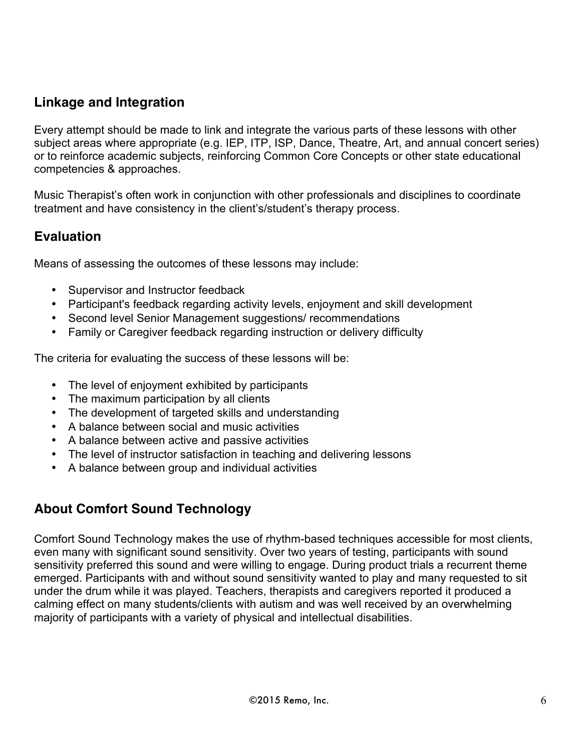## **Linkage and Integration**

Every attempt should be made to link and integrate the various parts of these lessons with other subject areas where appropriate (e.g. IEP, ITP, ISP, Dance, Theatre, Art, and annual concert series) or to reinforce academic subjects, reinforcing Common Core Concepts or other state educational competencies & approaches.

Music Therapist's often work in conjunction with other professionals and disciplines to coordinate treatment and have consistency in the client's/student's therapy process.

#### **Evaluation**

Means of assessing the outcomes of these lessons may include:

- Supervisor and Instructor feedback
- Participant's feedback regarding activity levels, enjoyment and skill development
- Second level Senior Management suggestions/ recommendations
- Family or Caregiver feedback regarding instruction or delivery difficulty

The criteria for evaluating the success of these lessons will be:

- The level of enjoyment exhibited by participants
- The maximum participation by all clients
- The development of targeted skills and understanding
- A balance between social and music activities
- A balance between active and passive activities
- The level of instructor satisfaction in teaching and delivering lessons
- A balance between group and individual activities

#### **About Comfort Sound Technology**

Comfort Sound Technology makes the use of rhythm-based techniques accessible for most clients, even many with significant sound sensitivity. Over two years of testing, participants with sound sensitivity preferred this sound and were willing to engage. During product trials a recurrent theme emerged. Participants with and without sound sensitivity wanted to play and many requested to sit under the drum while it was played. Teachers, therapists and caregivers reported it produced a calming effect on many students/clients with autism and was well received by an overwhelming majority of participants with a variety of physical and intellectual disabilities.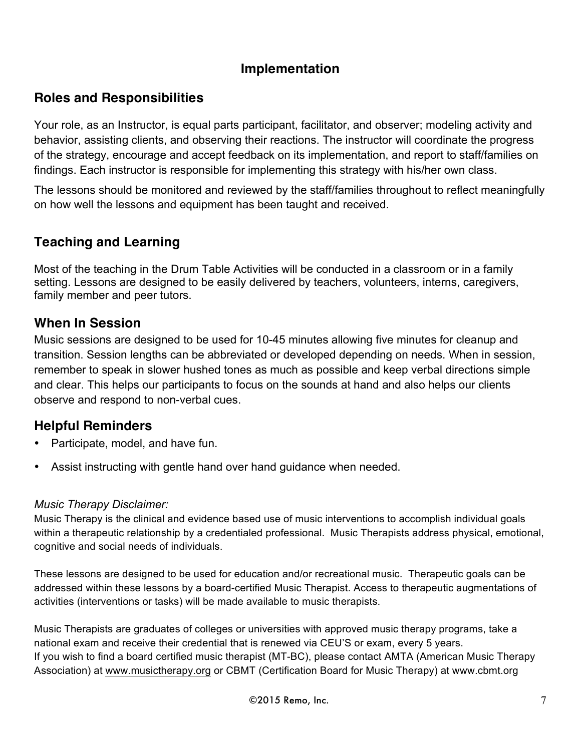#### **Implementation**

#### **Roles and Responsibilities**

Your role, as an Instructor, is equal parts participant, facilitator, and observer; modeling activity and behavior, assisting clients, and observing their reactions. The instructor will coordinate the progress of the strategy, encourage and accept feedback on its implementation, and report to staff/families on findings. Each instructor is responsible for implementing this strategy with his/her own class.

The lessons should be monitored and reviewed by the staff/families throughout to reflect meaningfully on how well the lessons and equipment has been taught and received.

#### **Teaching and Learning**

Most of the teaching in the Drum Table Activities will be conducted in a classroom or in a family setting. Lessons are designed to be easily delivered by teachers, volunteers, interns, caregivers, family member and peer tutors.

#### **When In Session**

Music sessions are designed to be used for 10-45 minutes allowing five minutes for cleanup and transition. Session lengths can be abbreviated or developed depending on needs. When in session, remember to speak in slower hushed tones as much as possible and keep verbal directions simple and clear. This helps our participants to focus on the sounds at hand and also helps our clients observe and respond to non-verbal cues.

#### **Helpful Reminders**

- Participate, model, and have fun.
- Assist instructing with gentle hand over hand guidance when needed.

#### *Music Therapy Disclaimer:*

Music Therapy is the clinical and evidence based use of music interventions to accomplish individual goals within a therapeutic relationship by a credentialed professional. Music Therapists address physical, emotional, cognitive and social needs of individuals.

These lessons are designed to be used for education and/or recreational music. Therapeutic goals can be addressed within these lessons by a board-certified Music Therapist. Access to therapeutic augmentations of activities (interventions or tasks) will be made available to music therapists.

Music Therapists are graduates of colleges or universities with approved music therapy programs, take a national exam and receive their credential that is renewed via CEU'S or exam, every 5 years. If you wish to find a board certified music therapist (MT-BC), please contact AMTA (American Music Therapy Association) at [www.musictherapy.org](http://www.musictherapy.org) or CBMT (Certification Board for Music Therapy) at www.cbmt.org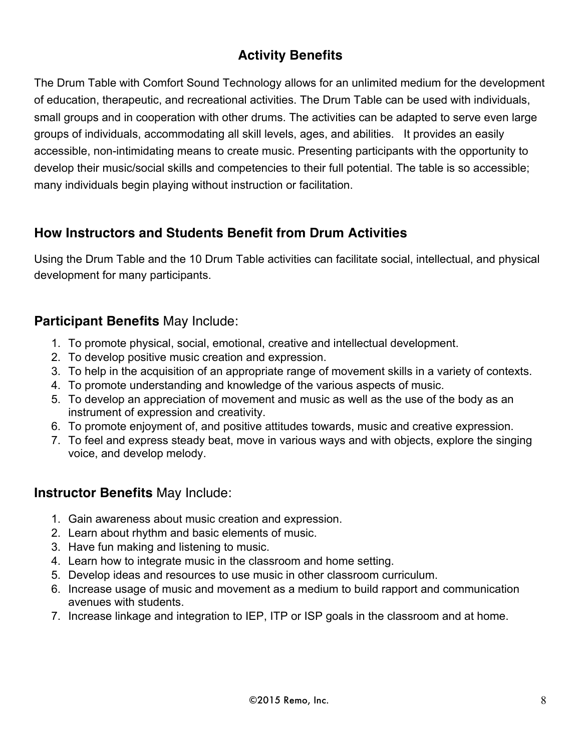## **Activity Benefits**

The Drum Table with Comfort Sound Technology allows for an unlimited medium for the development of education, therapeutic, and recreational activities. The Drum Table can be used with individuals, small groups and in cooperation with other drums. The activities can be adapted to serve even large groups of individuals, accommodating all skill levels, ages, and abilities. It provides an easily accessible, non-intimidating means to create music. Presenting participants with the opportunity to develop their music/social skills and competencies to their full potential. The table is so accessible; many individuals begin playing without instruction or facilitation.

#### **How Instructors and Students Benefit from Drum Activities**

Using the Drum Table and the 10 Drum Table activities can facilitate social, intellectual, and physical development for many participants.

#### **Participant Benefits** May Include:

- 1. To promote physical, social, emotional, creative and intellectual development.
- 2. To develop positive music creation and expression.
- 3. To help in the acquisition of an appropriate range of movement skills in a variety of contexts.
- 4. To promote understanding and knowledge of the various aspects of music.
- 5. To develop an appreciation of movement and music as well as the use of the body as an instrument of expression and creativity.
- 6. To promote enjoyment of, and positive attitudes towards, music and creative expression.
- 7. To feel and express steady beat, move in various ways and with objects, explore the singing voice, and develop melody.

#### **Instructor Benefits** May Include:

- 1. Gain awareness about music creation and expression.
- 2. Learn about rhythm and basic elements of music.
- 3. Have fun making and listening to music.
- 4. Learn how to integrate music in the classroom and home setting.
- 5. Develop ideas and resources to use music in other classroom curriculum.
- 6. Increase usage of music and movement as a medium to build rapport and communication avenues with students.
- 7. Increase linkage and integration to IEP, ITP or ISP goals in the classroom and at home.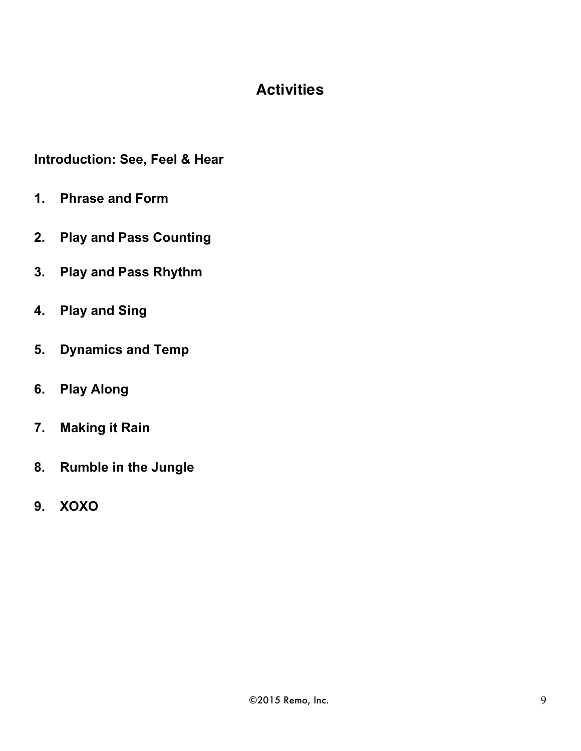## **Activities**

**Introduction: See, Feel & Hear**

- **1. Phrase and Form**
- **2. Play and Pass Counting**
- **3. Play and Pass Rhythm**
- **4. Play and Sing**
- **5. Dynamics and Temp**
- **6. Play Along**
- **7. Making it Rain**
- **8. Rumble in the Jungle**
- **9. XOXO**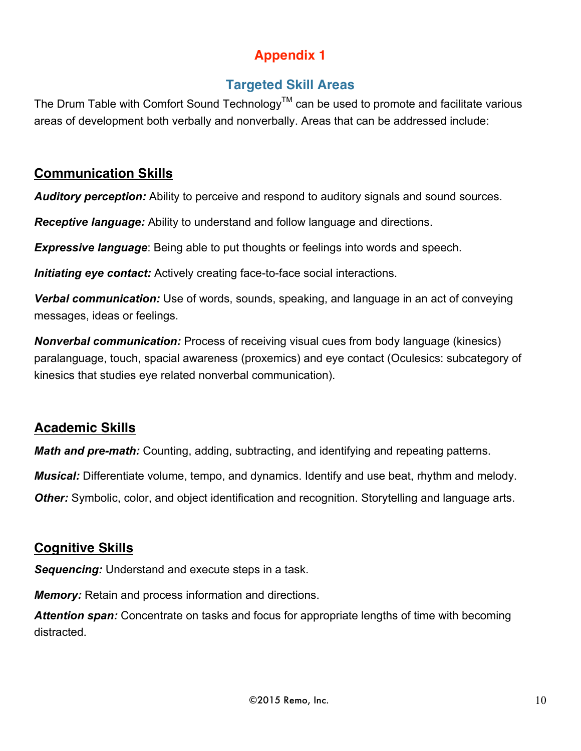## **Appendix 1**

## **Targeted Skill Areas**

The Drum Table with Comfort Sound Technology<sup>TM</sup> can be used to promote and facilitate various areas of development both verbally and nonverbally. Areas that can be addressed include:

## **Communication Skills**

*Auditory perception:* Ability to perceive and respond to auditory signals and sound sources.

*Receptive language:* Ability to understand and follow language and directions.

*Expressive language*: Being able to put thoughts or feelings into words and speech.

*Initiating eye contact:* Actively creating face-to-face social interactions.

*Verbal communication:* Use of words, sounds, speaking, and language in an act of conveying messages, ideas or feelings.

*Nonverbal communication:* Process of receiving visual cues from body language (kinesics) paralanguage, touch, spacial awareness (proxemics) and eye contact (Oculesics: subcategory of kinesics that studies eye related nonverbal communication).

## **Academic Skills**

*Math and pre-math:* Counting, adding, subtracting, and identifying and repeating patterns.

*Musical:* Differentiate volume, tempo, and dynamics. Identify and use beat, rhythm and melody.

**Other:** Symbolic, color, and object identification and recognition. Storytelling and language arts.

## **Cognitive Skills**

*Sequencing:* Understand and execute steps in a task.

*Memory:* Retain and process information and directions.

*Attention span:* Concentrate on tasks and focus for appropriate lengths of time with becoming distracted.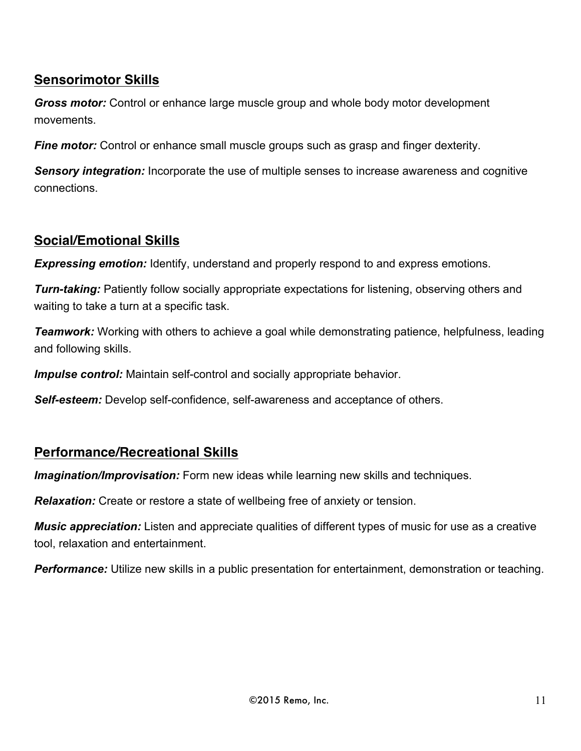## **Sensorimotor Skills**

*Gross motor:* Control or enhance large muscle group and whole body motor development movements.

**Fine motor:** Control or enhance small muscle groups such as grasp and finger dexterity.

*Sensory integration:* Incorporate the use of multiple senses to increase awareness and cognitive connections.

## **Social/Emotional Skills**

**Expressing emotion:** Identify, understand and properly respond to and express emotions.

*Turn-taking:* Patiently follow socially appropriate expectations for listening, observing others and waiting to take a turn at a specific task.

**Teamwork:** Working with others to achieve a goal while demonstrating patience, helpfulness, leading and following skills.

*Impulse control:* Maintain self-control and socially appropriate behavior.

*Self-esteem:* Develop self-confidence, self-awareness and acceptance of others.

#### **Performance/Recreational Skills**

*Imagination/Improvisation:* Form new ideas while learning new skills and techniques.

*Relaxation:* Create or restore a state of wellbeing free of anxiety or tension.

*Music appreciation:* Listen and appreciate qualities of different types of music for use as a creative tool, relaxation and entertainment.

*Performance:* Utilize new skills in a public presentation for entertainment, demonstration or teaching.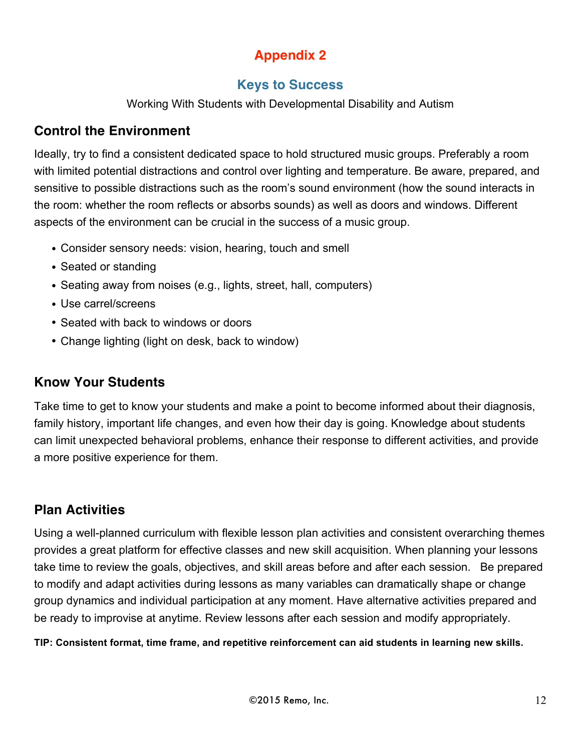## **Appendix 2**

## **Keys to Success**

Working With Students with Developmental Disability and Autism

## **Control the Environment**

Ideally, try to find a consistent dedicated space to hold structured music groups. Preferably a room with limited potential distractions and control over lighting and temperature. Be aware, prepared, and sensitive to possible distractions such as the room's sound environment (how the sound interacts in the room: whether the room reflects or absorbs sounds) as well as doors and windows. Different aspects of the environment can be crucial in the success of a music group.

- Consider sensory needs: vision, hearing, touch and smell
- Seated or standing
- Seating away from noises (e.g., lights, street, hall, computers)
- Use carrel/screens
- Seated with back to windows or doors
- Change lighting (light on desk, back to window)

## **Know Your Students**

Take time to get to know your students and make a point to become informed about their diagnosis, family history, important life changes, and even how their day is going. Knowledge about students can limit unexpected behavioral problems, enhance their response to different activities, and provide a more positive experience for them.

## **Plan Activities**

Using a well-planned curriculum with flexible lesson plan activities and consistent overarching themes provides a great platform for effective classes and new skill acquisition. When planning your lessons take time to review the goals, objectives, and skill areas before and after each session. Be prepared to modify and adapt activities during lessons as many variables can dramatically shape or change group dynamics and individual participation at any moment. Have alternative activities prepared and be ready to improvise at anytime. Review lessons after each session and modify appropriately.

**TIP: Consistent format, time frame, and repetitive reinforcement can aid students in learning new skills.**